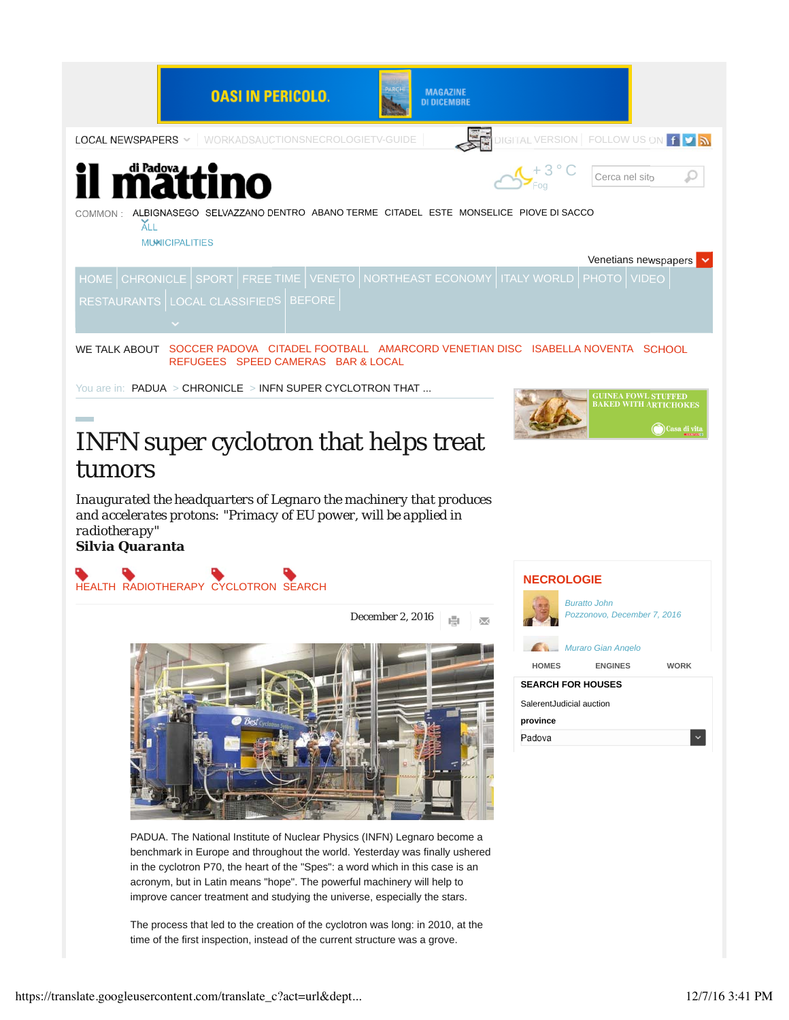

## INFN super cyclotron that helps treat tumors

*Inaugurated the headquarters of Legnaro the machinery that produces and accelerates protons: "Primacy of EU power, will be applied in radiotherapy" Silvia Quaranta*



December 2, 2016  $\overline{\times}$ 



PADUA. The National Institute of Nuclear Physics (INFN) Legnaro become a benchmark in Europe and throughout the world. Yesterday was finally ushered in the cyclotron P70, the heart of the "Spes": a word which in this case is an acronym, but in Latin means "hope". The powerful machinery will help to improve cancer treatment and studying the universe, especially the stars.

The process that led to the creation of the cyclotron was long: in 2010, at the time of the first inspection, instead of the current structure was a grove.



Casa di vi